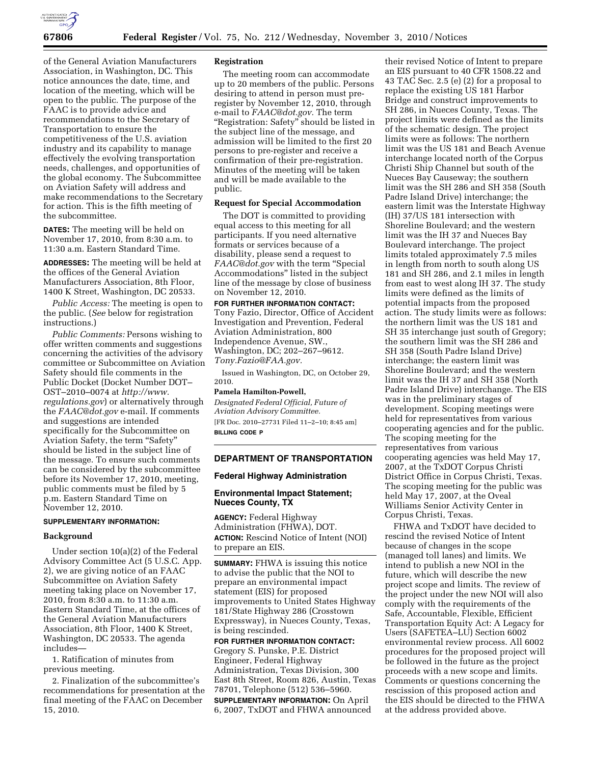

of the General Aviation Manufacturers Association, in Washington, DC. This notice announces the date, time, and location of the meeting, which will be open to the public. The purpose of the FAAC is to provide advice and recommendations to the Secretary of Transportation to ensure the competitiveness of the U.S. aviation industry and its capability to manage effectively the evolving transportation needs, challenges, and opportunities of the global economy. The Subcommittee on Aviation Safety will address and make recommendations to the Secretary for action. This is the fifth meeting of the subcommittee.

**DATES:** The meeting will be held on November 17, 2010, from 8:30 a.m. to 11:30 a.m. Eastern Standard Time.

**ADDRESSES:** The meeting will be held at the offices of the General Aviation Manufacturers Association, 8th Floor, 1400 K Street, Washington, DC 20533.

*Public Access:* The meeting is open to the public. (*See* below for registration instructions.)

*Public Comments:* Persons wishing to offer written comments and suggestions concerning the activities of the advisory committee or Subcommittee on Aviation Safety should file comments in the Public Docket (Docket Number DOT– OST–2010–0074 at *[http://www.](http://www.regulations.gov) [regulations.gov](http://www.regulations.gov)*) or alternatively through the *[FAAC@dot.gov](mailto:FAAC@dot.gov)* e-mail. If comments and suggestions are intended specifically for the Subcommittee on Aviation Safety, the term "Safety" should be listed in the subject line of the message. To ensure such comments can be considered by the subcommittee before its November 17, 2010, meeting, public comments must be filed by 5 p.m. Eastern Standard Time on November 12, 2010.

## **SUPPLEMENTARY INFORMATION:**

#### **Background**

Under section 10(a)(2) of the Federal Advisory Committee Act (5 U.S.C. App. 2), we are giving notice of an FAAC Subcommittee on Aviation Safety meeting taking place on November 17, 2010, from 8:30 a.m. to 11:30 a.m. Eastern Standard Time, at the offices of the General Aviation Manufacturers Association, 8th Floor, 1400 K Street, Washington, DC 20533. The agenda includes—

1. Ratification of minutes from previous meeting.

2. Finalization of the subcommittee's recommendations for presentation at the final meeting of the FAAC on December 15, 2010.

#### **Registration**

The meeting room can accommodate up to 20 members of the public. Persons desiring to attend in person must preregister by November 12, 2010, through e-mail to *[FAAC@dot.gov.](mailto:FAAC@dot.gov)* The term "Registration: Safety" should be listed in the subject line of the message, and admission will be limited to the first 20 persons to pre-register and receive a confirmation of their pre-registration. Minutes of the meeting will be taken and will be made available to the public.

## **Request for Special Accommodation**

The DOT is committed to providing equal access to this meeting for all participants. If you need alternative formats or services because of a disability, please send a request to *[FAAC@dot.gov](mailto:FAAC@dot.gov)* with the term ''Special Accommodations'' listed in the subject line of the message by close of business on November 12, 2010.

**FOR FURTHER INFORMATION CONTACT:**  Tony Fazio, Director, Office of Accident Investigation and Prevention, Federal Aviation Administration, 800 Independence Avenue, SW., Washington, DC; 202–267–9612. *[Tony.Fazio@FAA.gov.](mailto:Tony.Fazio@FAA.gov)* 

Issued in Washington, DC, on October 29, 2010.

#### **Pamela Hamilton-Powell,**

*Designated Federal Official, Future of Aviation Advisory Committee.*  [FR Doc. 2010–27731 Filed 11–2–10; 8:45 am] **BILLING CODE P** 

# **DEPARTMENT OF TRANSPORTATION**

#### **Federal Highway Administration**

## **Environmental Impact Statement; Nueces County, TX**

**AGENCY:** Federal Highway Administration (FHWA), DOT. **ACTION:** Rescind Notice of Intent (NOI) to prepare an EIS.

**SUMMARY:** FHWA is issuing this notice to advise the public that the NOI to prepare an environmental impact statement (EIS) for proposed improvements to United States Highway 181/State Highway 286 (Crosstown Expressway), in Nueces County, Texas, is being rescinded.

# **FOR FURTHER INFORMATION CONTACT:**

Gregory S. Punske, P.E. District Engineer, Federal Highway Administration, Texas Division, 300 East 8th Street, Room 826, Austin, Texas 78701, Telephone (512) 536–5960. **SUPPLEMENTARY INFORMATION:** On April 6, 2007, TxDOT and FHWA announced

their revised Notice of Intent to prepare an EIS pursuant to 40 CFR 1508.22 and 43 TAC Sec. 2.5 (e) (2) for a proposal to replace the existing US 181 Harbor Bridge and construct improvements to SH 286, in Nueces County, Texas. The project limits were defined as the limits of the schematic design. The project limits were as follows: The northern limit was the US 181 and Beach Avenue interchange located north of the Corpus Christi Ship Channel but south of the Nueces Bay Causeway; the southern limit was the SH 286 and SH 358 (South Padre Island Drive) interchange; the eastern limit was the Interstate Highway (IH) 37/US 181 intersection with Shoreline Boulevard; and the western limit was the IH 37 and Nueces Bay Boulevard interchange. The project limits totaled approximately 7.5 miles in length from north to south along US 181 and SH 286, and 2.1 miles in length from east to west along IH 37. The study limits were defined as the limits of potential impacts from the proposed action. The study limits were as follows: the northern limit was the US 181 and SH 35 interchange just south of Gregory; the southern limit was the SH 286 and SH 358 (South Padre Island Drive) interchange; the eastern limit was Shoreline Boulevard; and the western limit was the IH 37 and SH 358 (North Padre Island Drive) interchange. The EIS was in the preliminary stages of development. Scoping meetings were held for representatives from various cooperating agencies and for the public. The scoping meeting for the representatives from various cooperating agencies was held May 17, 2007, at the TxDOT Corpus Christi District Office in Corpus Christi, Texas. The scoping meeting for the public was held May 17, 2007, at the Oveal Williams Senior Activity Center in Corpus Christi, Texas.

FHWA and TxDOT have decided to rescind the revised Notice of Intent because of changes in the scope (managed toll lanes) and limits. We intend to publish a new NOI in the future, which will describe the new project scope and limits. The review of the project under the new NOI will also comply with the requirements of the Safe, Accountable, Flexible, Efficient Transportation Equity Act: A Legacy for Users (SAFETEA–LU) Section 6002 environmental review process. All 6002 procedures for the proposed project will be followed in the future as the project proceeds with a new scope and limits. Comments or questions concerning the rescission of this proposed action and the EIS should be directed to the FHWA at the address provided above.